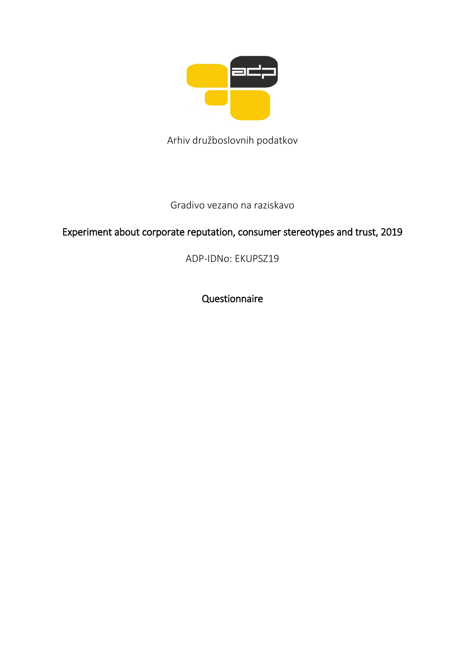

Arhiv družboslovnih podatkov

## Gradivo vezano na raziskavo

# Experiment about corporate reputation, consumer stereotypes and trust, 2019

ADP-IDNo: EKUPSZ19

Questionnaire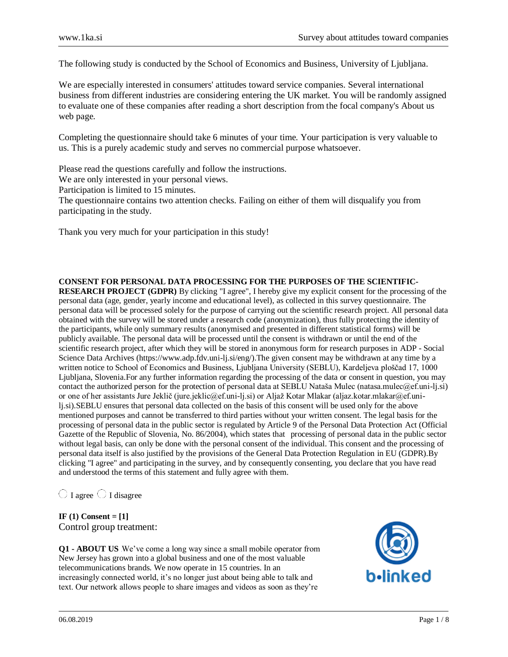The following study is conducted by the School of Economics and Business, University of Ljubljana.

We are especially interested in consumers' attitudes toward service companies. Several international business from different industries are considering entering the UK market. You will be randomly assigned to evaluate one of these companies after reading a short description from the focal company's About us web page.

Completing the questionnaire should take 6 minutes of your time. Your participation is very valuable to us. This is a purely academic study and serves no commercial purpose whatsoever.

Please read the questions carefully and follow the instructions.

We are only interested in your personal views.

Participation is limited to 15 minutes.

The questionnaire contains two attention checks. Failing on either of them will disqualify you from participating in the study.

Thank you very much for your participation in this study!

### **CONSENT FOR PERSONAL DATA PROCESSING FOR THE PURPOSES OF THE SCIENTIFIC-**

**RESEARCH PROJECT (GDPR)** By clicking "I agree", I hereby give my explicit consent for the processing of the personal data (age, gender, yearly income and educational level), as collected in this survey questionnaire. The personal data will be processed solely for the purpose of carrying out the scientific research project. All personal data obtained with the survey will be stored under a research code (anonymization), thus fully protecting the identity of the participants, while only summary results (anonymised and presented in different statistical forms) will be publicly available. The personal data will be processed until the consent is withdrawn or until the end of the scientific research project, after which they will be stored in anonymous form for research purposes in ADP - Social Science Data Archives (https://www.adp.fdv.uni-lj.si/eng/).The given consent may be withdrawn at any time by a written notice to School of Economics and Business, Ljubljana University (SEBLU), Kardeljeva ploščad 17, 1000 Ljubljana, Slovenia.For any further information regarding the processing of the data or consent in question, you may contact the authorized person for the protection of personal data at SEBLU Nataša Mulec (natasa.mulec@ef.uni-lj.si) or one of her assistants Jure Jeklič (jure.jeklic@ef.uni-lj.si) or Aljaž Kotar Mlakar (aljaz.kotar.mlakar@ef.unilj.si).SEBLU ensures that personal data collected on the basis of this consent will be used only for the above mentioned purposes and cannot be transferred to third parties without your written consent. The legal basis for the processing of personal data in the public sector is regulated by Article 9 of the Personal Data Protection Act (Official Gazette of the Republic of Slovenia, No. 86/2004), which states that processing of personal data in the public sector without legal basis, can only be done with the personal consent of the individual. This consent and the processing of personal data itself is also justified by the provisions of the General Data Protection Regulation in EU (GDPR).By clicking "I agree" and participating in the survey, and by consequently consenting, you declare that you have read and understood the terms of this statement and fully agree with them.

 $\bigcirc$  I agree  $\bigcirc$  I disagree

**IF (1) Consent = [1]**  Control group treatment:

**Q1 - ABOUT US** We've come a long way since a small mobile operator from New Jersey has grown into a global business and one of the most valuable telecommunications brands. We now operate in 15 countries. In an increasingly connected world, it's no longer just about being able to talk and text. Our network allows people to share images and videos as soon as they're

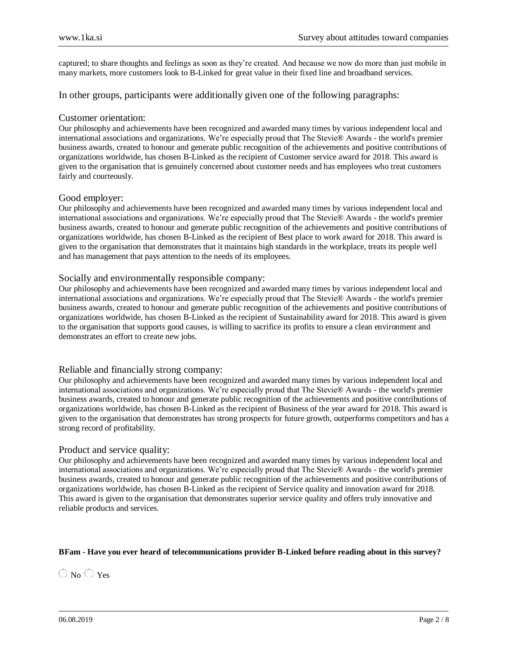captured; to share thoughts and feelings as soon as they're created. And because we now do more than just mobile in many markets, more customers look to B-Linked for great value in their fixed line and broadband services.

In other groups, participants were additionally given one of the following paragraphs:

### Customer orientation:

Our philosophy and achievements have been recognized and awarded many times by various independent local and international associations and organizations. We're especially proud that The Stevie® Awards - the world's premier business awards, created to honour and generate public recognition of the achievements and positive contributions of organizations worldwide, has chosen B-Linked as the recipient of Customer service award for 2018. This award is given to the organisation that is genuinely concerned about customer needs and has employees who treat customers fairly and courteously.

### Good employer:

Our philosophy and achievements have been recognized and awarded many times by various independent local and international associations and organizations. We're especially proud that The Stevie® Awards - the world's premier business awards, created to honour and generate public recognition of the achievements and positive contributions of organizations worldwide, has chosen B-Linked as the recipient of Best place to work award for 2018. This award is given to the organisation that demonstrates that it maintains high standards in the workplace, treats its people well and has management that pays attention to the needs of its employees.

### Socially and environmentally responsible company:

Our philosophy and achievements have been recognized and awarded many times by various independent local and international associations and organizations. We're especially proud that The Stevie® Awards - the world's premier business awards, created to honour and generate public recognition of the achievements and positive contributions of organizations worldwide, has chosen B-Linked as the recipient of Sustainability award for 2018. This award is given to the organisation that supports good causes, is willing to sacrifice its profits to ensure a clean environment and demonstrates an effort to create new jobs.

### Reliable and financially strong company:

Our philosophy and achievements have been recognized and awarded many times by various independent local and international associations and organizations. We're especially proud that The Stevie® Awards - the world's premier business awards, created to honour and generate public recognition of the achievements and positive contributions of organizations worldwide, has chosen B-Linked as the recipient of Business of the year award for 2018. This award is given to the organisation that demonstrates has strong prospects for future growth, outperforms competitors and has a strong record of profitability.

### Product and service quality:

Our philosophy and achievements have been recognized and awarded many times by various independent local and international associations and organizations. We're especially proud that The Stevie® Awards - the world's premier business awards, created to honour and generate public recognition of the achievements and positive contributions of organizations worldwide, has chosen B-Linked as the recipient of Service quality and innovation award for 2018. This award is given to the organisation that demonstrates superior service quality and offers truly innovative and reliable products and services.

### **BFam - Have you ever heard of telecommunications provider B-Linked before reading about in this survey?**

 $\bigcirc$  No  $\bigcirc$  Yes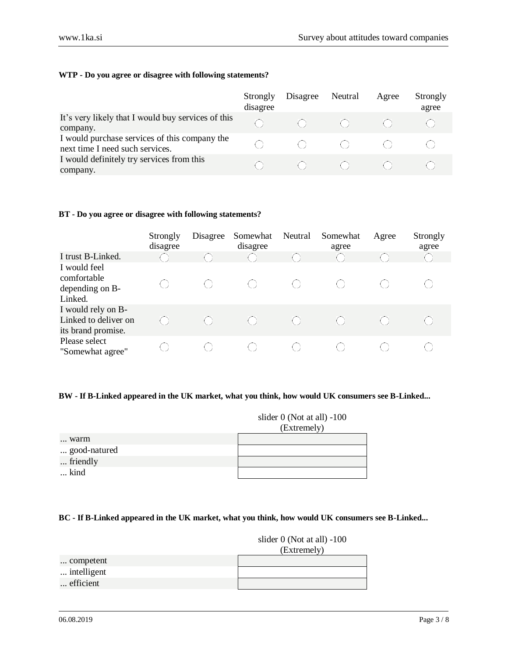### **WTP - Do you agree or disagree with following statements?**

|                                                                                  | Strongly<br>disagree | Disagree                        | Neutral      | Agree | Strongly<br>agree |
|----------------------------------------------------------------------------------|----------------------|---------------------------------|--------------|-------|-------------------|
| It's very likely that I would buy services of this<br>company.                   | ( )                  | $\leq$ ( ) $\geq$               |              |       |                   |
| I would purchase services of this company the<br>next time I need such services. |                      | $\sim$ ( $\sim$ )               |              |       |                   |
| I would definitely try services from this<br>company.                            |                      | $\sim$ ( $\sim$ ) $\sim$ $\sim$ | $\leq$ 0 $>$ |       |                   |

### **BT - Do you agree or disagree with following statements?**

|                                                                  | Strongly<br>disagree | Disagree | Somewhat<br>disagree | Neutral | Somewhat<br>agree                             | Agree | Strongly<br>agree |
|------------------------------------------------------------------|----------------------|----------|----------------------|---------|-----------------------------------------------|-------|-------------------|
| I trust B-Linked.                                                |                      |          |                      |         |                                               |       |                   |
| I would feel<br>comfortable<br>depending on B-<br>Linked.        |                      |          |                      | ( )     |                                               |       |                   |
| I would rely on B-<br>Linked to deliver on<br>its brand promise. | ( )                  |          |                      |         | $\left( \begin{array}{c} \end{array} \right)$ | ( )   |                   |
| Please select<br>"Somewhat agree"                                |                      |          |                      |         |                                               |       |                   |

### **BW - If B-Linked appeared in the UK market, what you think, how would UK consumers see B-Linked...**

|              | slider $0$ (Not at all) $-100$ |
|--------------|--------------------------------|
|              | (Extremely)                    |
| warm         |                                |
| good-natured |                                |
| friendly     |                                |
| kind         |                                |

### **BC - If B-Linked appeared in the UK market, what you think, how would UK consumers see B-Linked...**

### slider 0 (Not at all) -100

| competent   |  |
|-------------|--|
| intelligent |  |
| efficient   |  |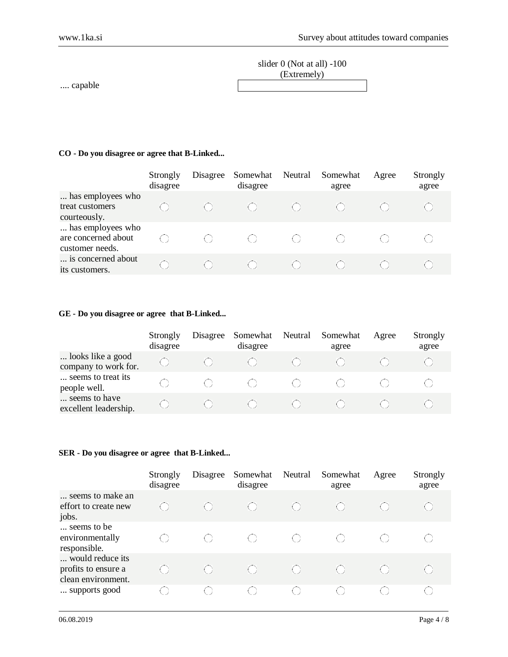| slider $0$ (Not at all) $-100$ |  |
|--------------------------------|--|
| (Extremely)                    |  |
|                                |  |

.... capable

### **CO - Do you disagree or agree that B-Linked...**

|                                                             | Strongly<br>disagree | Disagree | Somewhat<br>disagree | Neutral | Somewhat<br>agree | Agree | Strongly<br>agree |
|-------------------------------------------------------------|----------------------|----------|----------------------|---------|-------------------|-------|-------------------|
| has employees who<br>treat customers<br>courteously.        |                      |          |                      |         |                   |       |                   |
| has employees who<br>are concerned about<br>customer needs. |                      |          |                      |         |                   |       |                   |
| is concerned about<br>its customers.                        |                      |          |                      |         |                   |       |                   |

### **GE - Do you disagree or agree that B-Linked...**

|                                           | Strongly<br>disagree | Disagree | Somewhat<br>disagree | Neutral | Somewhat<br>agree | Agree | Strongly<br>agree |
|-------------------------------------------|----------------------|----------|----------------------|---------|-------------------|-------|-------------------|
| looks like a good<br>company to work for. |                      |          |                      |         |                   |       |                   |
| seems to treat its<br>people well.        |                      |          |                      |         |                   |       |                   |
| seems to have<br>excellent leadership.    |                      |          |                      |         |                   |       |                   |

### **SER - Do you disagree or agree that B-Linked...**

|                                                               | Strongly<br>disagree                                 | Disagree                                      | Somewhat<br>disagree                        | Neutral | Somewhat<br>agree                             | Agree | Strongly<br>agree                                    |
|---------------------------------------------------------------|------------------------------------------------------|-----------------------------------------------|---------------------------------------------|---------|-----------------------------------------------|-------|------------------------------------------------------|
| seems to make an<br>effort to create new<br>jobs.             | ( )                                                  |                                               | $\left(\begin{array}{c} \end{array}\right)$ |         |                                               |       |                                                      |
| seems to be<br>environmentally<br>responsible.                | $\left( \begin{array}{c} \hline \end{array} \right)$ | $\left( \begin{array}{c} \end{array} \right)$ |                                             | ( )     | $\left( \begin{array}{c} \end{array} \right)$ |       |                                                      |
| would reduce its<br>profits to ensure a<br>clean environment. | ( )                                                  | $\left( \begin{array}{c} \end{array} \right)$ |                                             | ( )     | $\left( \begin{array}{c} \end{array} \right)$ | ( )   | $\left( \begin{array}{c} 1 \\ 1 \end{array} \right)$ |
| supports good                                                 | ( )                                                  | $\left( \begin{array}{c} \end{array} \right)$ |                                             | ( )     |                                               |       | ŧλ                                                   |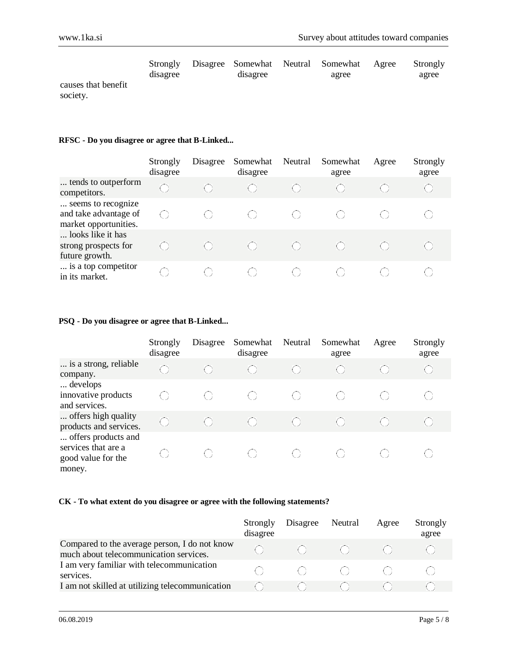|                     | Strongly<br>disagree | disagree | Disagree Somewhat Neutral Somewhat<br>agree | Agree | Strongly<br>agree |
|---------------------|----------------------|----------|---------------------------------------------|-------|-------------------|
| causes that benefit |                      |          |                                             |       |                   |
| society.            |                      |          |                                             |       |                   |

### **RFSC - Do you disagree or agree that B-Linked...**

|                                                                      | Strongly<br>disagree | Disagree | Somewhat<br>disagree | Neutral                                       | Somewhat<br>agree | Agree | Strongly<br>agree |
|----------------------------------------------------------------------|----------------------|----------|----------------------|-----------------------------------------------|-------------------|-------|-------------------|
| tends to outperform<br>competitors.                                  | ( )                  |          |                      | $\left( \begin{array}{c} \end{array} \right)$ | ( )               |       |                   |
| seems to recognize<br>and take advantage of<br>market opportunities. | ( )                  |          |                      |                                               |                   |       |                   |
| looks like it has<br>strong prospects for<br>future growth.          | ( )                  |          |                      | ( )                                           | ( )               |       |                   |
| is a top competitor<br>in its market.                                |                      |          |                      |                                               |                   |       |                   |

### **PSQ - Do you disagree or agree that B-Linked...**

|                                                                            | Strongly<br>disagree  | Disagree | Somewhat<br>disagree | Neutral | Somewhat<br>agree                             | Agree | Strongly<br>agree |
|----------------------------------------------------------------------------|-----------------------|----------|----------------------|---------|-----------------------------------------------|-------|-------------------|
| is a strong, reliable<br>company.                                          | $\bigcirc$            |          |                      |         | $\left( \begin{array}{c} \end{array} \right)$ |       | $\bigcirc$        |
| develops<br>innovative products<br>and services.                           | ( )                   | ( )      |                      |         | ( )                                           |       | ( )               |
| offers high quality<br>products and services.                              | $\langle \ \ \rangle$ |          |                      |         |                                               |       |                   |
| offers products and<br>services that are a<br>good value for the<br>money. |                       | ( )      |                      |         |                                               |       |                   |

### **CK - To what extent do you disagree or agree with the following statements?**

|                                                                                         | Strongly<br>disagree | Disagree                          | Neutral                      | Agree | Strongly<br>agree |
|-----------------------------------------------------------------------------------------|----------------------|-----------------------------------|------------------------------|-------|-------------------|
| Compared to the average person, I do not know<br>much about telecommunication services. | ( )                  | - (11)                            | - COVID-1                    |       |                   |
| I am very familiar with telecommunication<br>services.                                  |                      | and the control of the control of | $\mathcal{L} = \{ \alpha \}$ |       |                   |
| I am not skilled at utilizing telecommunication                                         |                      |                                   |                              |       |                   |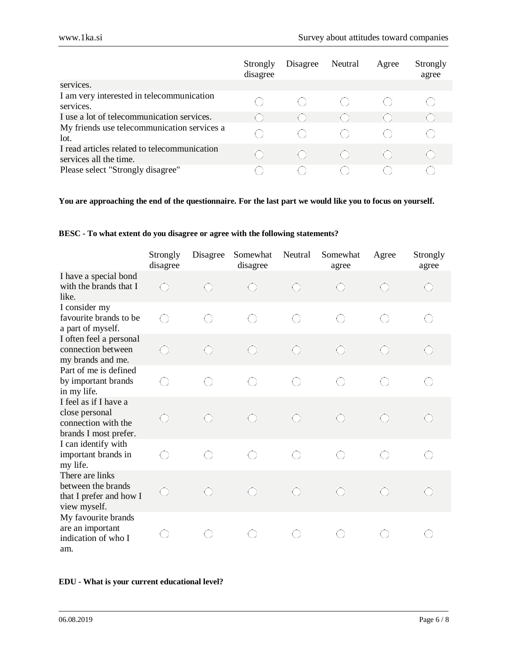|                                                                        | Strongly<br>disagree                          | Disagree | Neutral                                              | Agree | Strongly<br>agree |
|------------------------------------------------------------------------|-----------------------------------------------|----------|------------------------------------------------------|-------|-------------------|
| services.                                                              |                                               |          |                                                      |       |                   |
| I am very interested in telecommunication<br>services.                 | ( )                                           | ( )      | -61                                                  |       |                   |
| I use a lot of telecommunication services.                             | . Y                                           |          |                                                      |       |                   |
| My friends use telecommunication services a<br>lot.                    | ( )                                           | ( )      | ( )                                                  |       |                   |
| I read articles related to telecommunication<br>services all the time. | $\left( \begin{array}{c} \end{array} \right)$ | ( )      | $\left( \begin{array}{c} 1 \\ 1 \end{array} \right)$ |       |                   |
| Please select "Strongly disagree"                                      |                                               |          |                                                      |       |                   |

### **You are approaching the end of the questionnaire. For the last part we would like you to focus on yourself.**

### **BESC - To what extent do you disagree or agree with the following statements?**

|                                                                                         | Strongly<br>disagree | Disagree   | Somewhat<br>disagree | Neutral    | Somewhat<br>agree | Agree      | Strongly<br>agree |
|-----------------------------------------------------------------------------------------|----------------------|------------|----------------------|------------|-------------------|------------|-------------------|
| I have a special bond<br>with the brands that I<br>like.                                | O                    | $\bigodot$ | $\bigodot$           | €          | O                 | $\bigodot$ | $\bigodot$        |
| I consider my<br>favourite brands to be<br>a part of myself.                            | 0                    | O          | $\bigcirc$           | O          | $\bigcirc$        | 0          | 0                 |
| I often feel a personal<br>connection between<br>my brands and me.                      | €                    | O          | $\odot$              | €          | $\bigcirc$        | $\bigodot$ | ⊙                 |
| Part of me is defined<br>by important brands<br>in my life.                             | $\bigcirc$           | $\bigcirc$ | 0                    | $\bigcirc$ | $\bigcirc$        | $\bigcirc$ | $\bigcirc$        |
| I feel as if I have a<br>close personal<br>connection with the<br>brands I most prefer. | O                    | $\bigodot$ | $\bigodot$           | $\bigodot$ | $\bigodot$        | $\bigodot$ | $\bigodot$        |
| I can identify with<br>important brands in<br>my life.                                  | 0                    | O          | O                    | $\bigcirc$ | $\bigcirc$        | $\bigcirc$ | O                 |
| There are links<br>between the brands<br>that I prefer and how I<br>view myself.        | ⊙                    | $\bigodot$ | $\bigodot$           | $\odot$    | $\bigodot$        | $\bigodot$ | ⊙                 |
| My favourite brands<br>are an important<br>indication of who I<br>am.                   | O                    | 0          | $\bigcirc$           | O          | 0                 | 0          | O                 |

### **EDU - What is your current educational level?**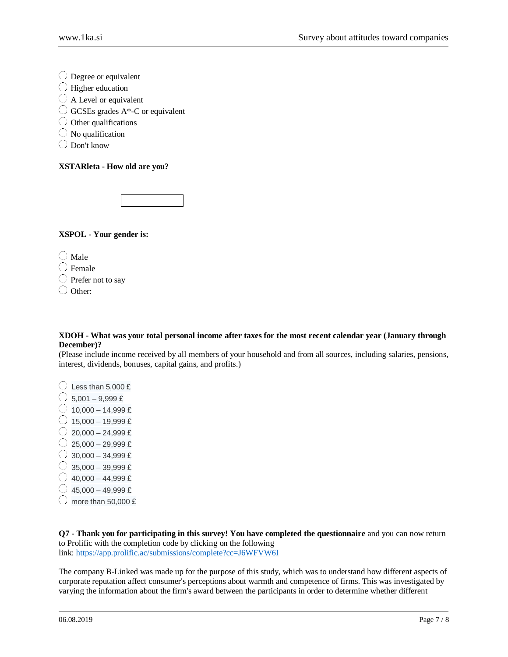Degree or equivalent

- $\bigcirc$  Higher education
- $\bigcirc$  A Level or equivalent
- $\bigcirc$  GCSEs grades A\*-C or equivalent
- $\bigcirc$  Other qualifications
- $\bigcirc$  No qualification
- Don't know

#### **XSTARleta - How old are you?**



**XSPOL - Your gender is:**

 $\bigcirc$  Male

 $\bigcirc$  Female

 $\bigcirc$  Prefer not to say

Other:

#### **XDOH - What was your total personal income after taxes for the most recent calendar year (January through December)?**

(Please include income received by all members of your household and from all sources, including salaries, pensions, interest, dividends, bonuses, capital gains, and profits.)

- $\bigcirc$  Less than 5,000 £
- $\circ$  5.001 9.999 £
- $\bigcirc$  10,000 14,999 £
- $\bigcirc$  15,000 19,999 £
- $\bigcirc$  20,000 24,999 £
- $\bigcirc$  25,000 29,999 £
- $\circ$  30,000 34,999 £
- $\circ$  35,000 39,999 £
- $\bigcirc$  40,000 44,999 £
- $\bigcirc$  45,000 49,999 £
- 
- $\bigcirc$  more than 50,000 £

**Q7 - Thank you for participating in this survey! You have completed the questionnaire** and you can now return to Prolific with the completion code by clicking on the following link: <https://app.prolific.ac/submissions/complete?cc=J6WFVW6I>

The company B-Linked was made up for the purpose of this study, which was to understand how different aspects of corporate reputation affect consumer's perceptions about warmth and competence of firms. This was investigated by varying the information about the firm's award between the participants in order to determine whether different